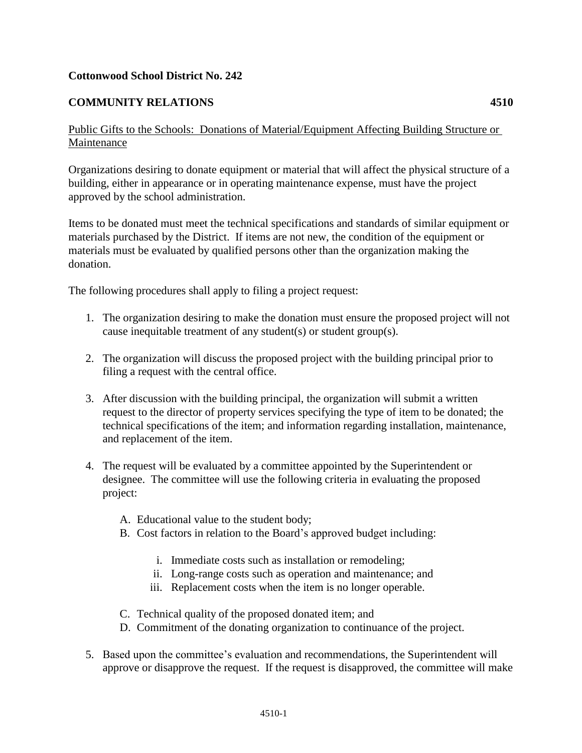## **Cottonwood School District No. 242**

## **COMMUNITY RELATIONS 4510**

Organizations desiring to donate equipment or material that will affect the physical structure of a building, either in appearance or in operating maintenance expense, must have the project approved by the school administration.

Items to be donated must meet the technical specifications and standards of similar equipment or materials purchased by the District. If items are not new, the condition of the equipment or materials must be evaluated by qualified persons other than the organization making the donation.

The following procedures shall apply to filing a project request:

- 1. The organization desiring to make the donation must ensure the proposed project will not cause inequitable treatment of any student(s) or student group(s).
- 2. The organization will discuss the proposed project with the building principal prior to filing a request with the central office.
- 3. After discussion with the building principal, the organization will submit a written request to the director of property services specifying the type of item to be donated; the technical specifications of the item; and information regarding installation, maintenance, and replacement of the item.
- 4. The request will be evaluated by a committee appointed by the Superintendent or designee. The committee will use the following criteria in evaluating the proposed project:
	- A. Educational value to the student body;
	- B. Cost factors in relation to the Board's approved budget including:
		- i. Immediate costs such as installation or remodeling;
		- ii. Long-range costs such as operation and maintenance; and
		- iii. Replacement costs when the item is no longer operable.
	- C. Technical quality of the proposed donated item; and
	- D. Commitment of the donating organization to continuance of the project.
- 5. Based upon the committee's evaluation and recommendations, the Superintendent will approve or disapprove the request. If the request is disapproved, the committee will make